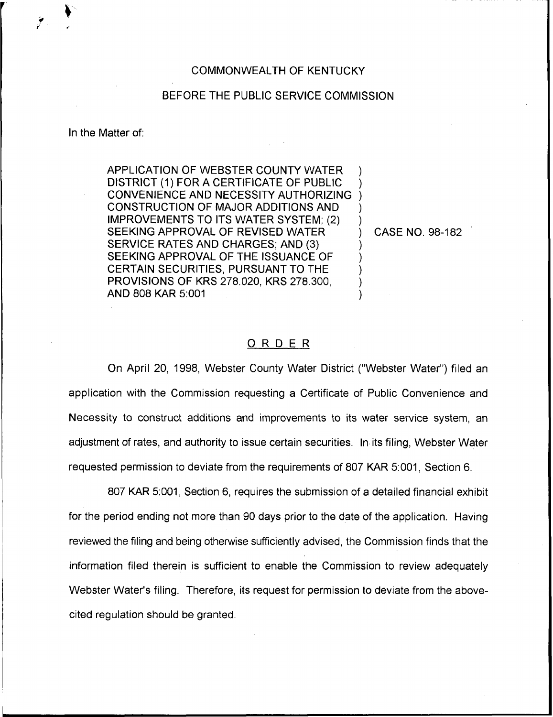## COMMONWEALTH OF KENTUCKY

## BEFORE THE PUBLIC SERVICE COMMISSION

In the Matter of:

APPLICATION OF WEBSTER COUNTY WATER DISTRICT (1) FOR A CERTIFICATE OF PUBLIC CONVENIENCE AND NECESSITY AUTHORIZING CONSTRUCTION OF MAJOR ADDITIONS AND IMPROVEMENTS TO ITS WATER SYSTEM; (2) SEEKING APPROVAL OF REVISED WATER SERVICE RATES AND CHARGES; AND (3} SEEKING APPROVAL OF THE ISSUANCE OF CERTAIN SECURITIES, PURSUANT TO THE PROVISIONS OF KRS 278.020, KRS 278.300, AND 808 KAR 5:001

) CASE NO. 98-182

) ) ) ) )

) ) ) ) )

## ORDER

On April 20, 1998, Webster County Water District ("Webster Water"} filed an application with the Commission requesting a Certificate of Public Convenience and Necessity to construct additions and improvements to its water service system, an adjustment of rates, and authority to issue certain securities. In its filing, Webster Water requested permission to deviate from the requirements of 807 KAR 5:001, Section 6.

807 KAR 5:001, Section 6, requires the submission of a detailed financial exhibit for the period ending not more than 90 days prior to the date of the application. Having reviewed the filing and being otherwise sufficiently advised, the Commission finds that the information filed therein is sufficient to enable the Commission to review adequately Webster Water's filing. Therefore, its request for permission to deviate from the abovecited regulation should be granted.